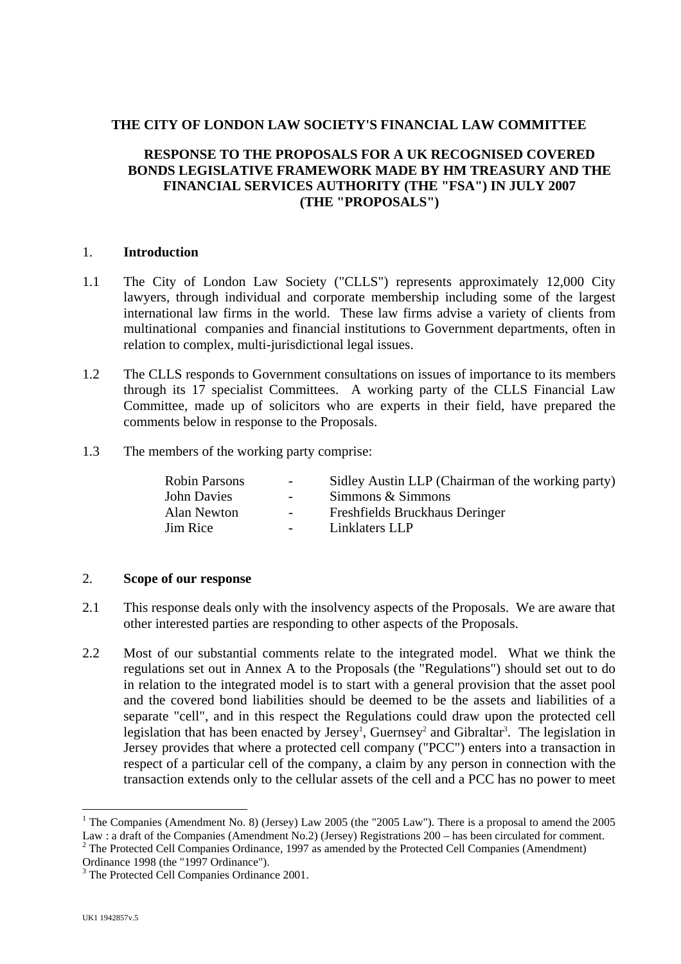## **THE CITY OF LONDON LAW SOCIETY'S FINANCIAL LAW COMMITTEE**

# **RESPONSE TO THE PROPOSALS FOR A UK RECOGNISED COVERED BONDS LEGISLATIVE FRAMEWORK MADE BY HM TREASURY AND THE FINANCIAL SERVICES AUTHORITY (THE "FSA") IN JULY 2007 (THE "PROPOSALS")**

## 1. **Introduction**

- 1.1 The City of London Law Society ("CLLS") represents approximately 12,000 City lawyers, through individual and corporate membership including some of the largest international law firms in the world. These law firms advise a variety of clients from multinational companies and financial institutions to Government departments, often in relation to complex, multi-jurisdictional legal issues.
- 1.2 The CLLS responds to Government consultations on issues of importance to its members through its 17 specialist Committees. A working party of the CLLS Financial Law Committee, made up of solicitors who are experts in their field, have prepared the comments below in response to the Proposals.
- 1.3 The members of the working party comprise:

| <b>Robin Parsons</b> | $\sim$ 100 $\mu$  | Sidley Austin LLP (Chairman of the working party) |
|----------------------|-------------------|---------------------------------------------------|
| John Davies          | $\sim 100$        | Simmons & Simmons                                 |
| Alan Newton          | $\sim$ 100 $\mu$  | Freshfields Bruckhaus Deringer                    |
| <b>Jim Rice</b>      | $\sim$ 100 $\sim$ | Linklaters LLP                                    |
|                      |                   |                                                   |

## 2. **Scope of our response**

- 2.1 This response deals only with the insolvency aspects of the Proposals. We are aware that other interested parties are responding to other aspects of the Proposals.
- 2.2 Most of our substantial comments relate to the integrated model. What we think the regulations set out in Annex A to the Proposals (the "Regulations") should set out to do in relation to the integrated model is to start with a general provision that the asset pool and the covered bond liabilities should be deemed to be the assets and liabilities of a separate "cell", and in this respect the Regulations could draw upon the protected cell legislation that has been enacted by Jersey<sup>[1](#page-0-0)</sup>,Guernsey<sup>2</sup> and Gibraltar<sup>3</sup>[.](#page-0-2) The legislation in Jersey provides that where a protected cell company ("PCC") enters into a transaction in respect of a particular cell of the company, a claim by any person in connection with the transaction extends only to the cellular assets of the cell and a PCC has no power to meet

<span id="page-0-0"></span><sup>&</sup>lt;sup>1</sup> The Companies (Amendment No. 8) (Jersey) Law 2005 (the "2005 Law"). There is a proposal to amend the 2005 Law : a draft of the Companies (Amendment No.2) (Jersey) Registrations 200 – has been circulated for comment.

<span id="page-0-1"></span><sup>&</sup>lt;sup>2</sup> The Protected Cell Companies Ordinance, 1997 as amended by the Protected Cell Companies (Amendment) Ordinance 1998 (the "1997 Ordinance").

<span id="page-0-2"></span><sup>&</sup>lt;sup>3</sup> The Protected Cell Companies Ordinance 2001.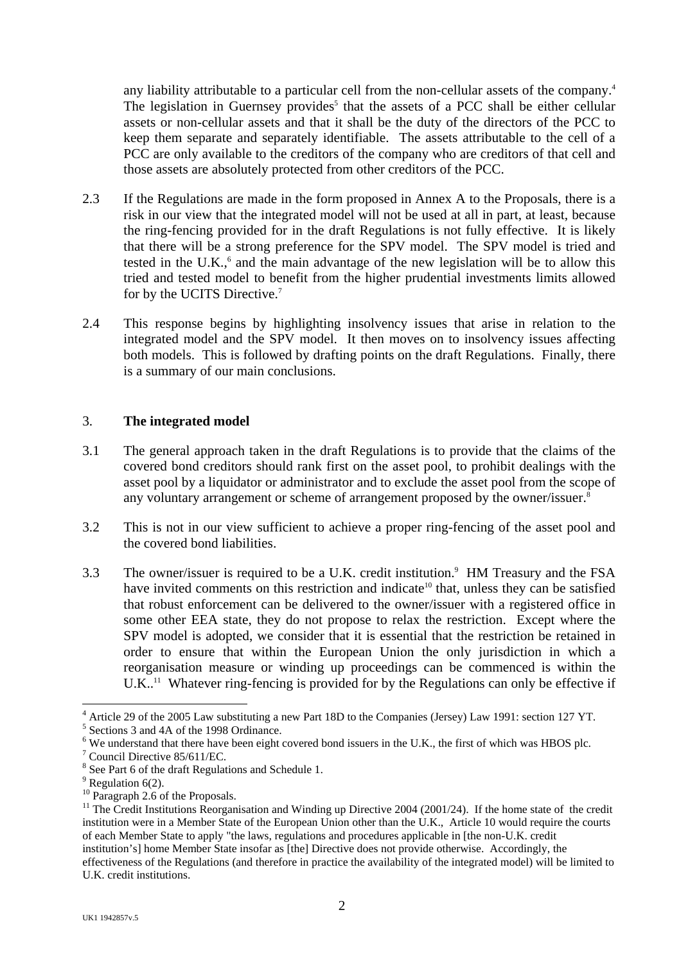any liability attributable to a particular cell from the non-cellular assets of the company.<sup>4</sup> The legislation in Guernsey provides<sup>5</sup> that the assets of a PCC shall be either cellular assets or non-cellular assets and that it shall be the duty of the directors of the PCC to keep them separate and separately identifiable. The assets attributable to the cell of a PCC are only available to the creditors of the company who are creditors of that cell and those assets are absolutely protected from other creditors of the PCC.

- 2.3 If the Regulations are made in the form proposed in Annex A to the Proposals, there is a risk in our view that the integrated model will not be used at all in part, at least, because the ring-fencing provided for in the draft Regulations is not fully effective. It is likely that there will be a strong preference for the SPV model. The SPV model is tried and testedin the U.K., $6$  and the main advantage of the new legislation will be to allow this tried and tested model to benefit from the higher prudential investments limits allowed for by the UCITS Directive[.7](#page-1-3)
- 2.4 This response begins by highlighting insolvency issues that arise in relation to the integrated model and the SPV model. It then moves on to insolvency issues affecting both models. This is followed by drafting points on the draft Regulations. Finally, there is a summary of our main conclusions.

## 3. **The integrated model**

- 3.1 The general approach taken in the draft Regulations is to provide that the claims of the covered bond creditors should rank first on the asset pool, to prohibit dealings with the asset pool by a liquidator or administrator and to exclude the asset pool from the scope of any voluntary arrangement or scheme of arrangement proposed by the owner/issuer.<sup>8</sup>
- 3.2 This is not in our view sufficient to achieve a proper ring-fencing of the asset pool and the covered bond liabilities.
- 3.3 The owner/issuer is required to be a U.K. credit institution.<sup>9</sup> HM Treasury and the FSA have invited comments on this restriction and indicate<sup>10</sup> that, unless they can be satisfied that robust enforcement can be delivered to the owner/issuer with a registered office in some other EEA state, they do not propose to relax the restriction. Except where the SPV model is adopted, we consider that it is essential that the restriction be retained in order to ensure that within the European Union the only jurisdiction in which a reorganisation measure or winding up proceedings can be commenced is within the  $U.K.$ <sup>11</sup> Whatever ring-fencing is provided for by the Regulations can only be effective if

<span id="page-1-0"></span><sup>&</sup>lt;sup>4</sup> Article 29 of the 2005 Law substituting a new Part 18D to the Companies (Jersey) Law 1991: section 127 YT.

<span id="page-1-1"></span> $5$  Sections 3 and 4A of the 1998 Ordinance.

<span id="page-1-2"></span><sup>&</sup>lt;sup>6</sup> We understand that there have been eight covered bond issuers in the U.K., the first of which was HBOS plc.

<span id="page-1-3"></span> $7$  Council Directive 85/611/EC.

<span id="page-1-4"></span> $\frac{8}{9}$  See Part 6 of the draft Regulations and Schedule 1.<br> $\frac{9}{9}$  Regulation 6(2).

<span id="page-1-5"></span>

<span id="page-1-7"></span><span id="page-1-6"></span>

<sup>&</sup>lt;sup>10</sup> Paragraph 2.6 of the Proposals.<br><sup>11</sup> The Credit Institutions Reorganisation and Winding up Directive 2004 (2001/24). If the home state of the credit institution were in a Member State of the European Union other than the U.K., Article 10 would require the courts of each Member State to apply "the laws, regulations and procedures applicable in [the non-U.K. credit institution's] home Member State insofar as [the] Directive does not provide otherwise. Accordingly, the effectiveness of the Regulations (and therefore in practice the availability of the integrated model) will be limited to U.K. credit institutions.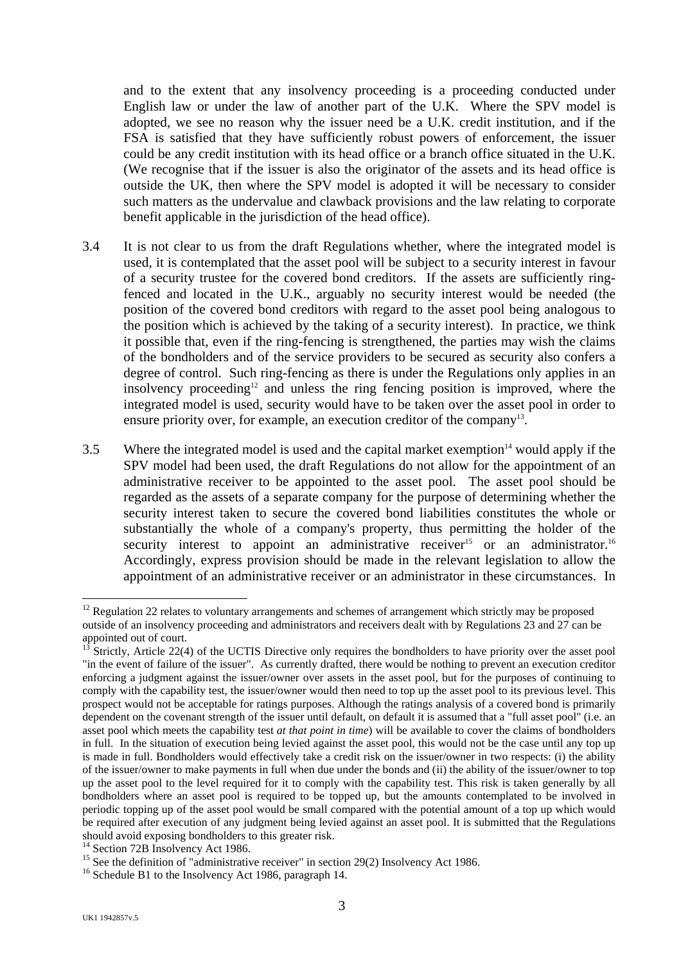and to the extent that any insolvency proceeding is a proceeding conducted under English law or under the law of another part of the U.K. Where the SPV model is adopted, we see no reason why the issuer need be a U.K. credit institution, and if the FSA is satisfied that they have sufficiently robust powers of enforcement, the issuer could be any credit institution with its head office or a branch office situated in the U.K. (We recognise that if the issuer is also the originator of the assets and its head office is outside the UK, then where the SPV model is adopted it will be necessary to consider such matters as the undervalue and clawback provisions and the law relating to corporate benefit applicable in the jurisdiction of the head office).

- 3.4 It is not clear to us from the draft Regulations whether, where the integrated model is used, it is contemplated that the asset pool will be subject to a security interest in favour of a security trustee for the covered bond creditors. If the assets are sufficiently ringfenced and located in the U.K., arguably no security interest would be needed (the position of the covered bond creditors with regard to the asset pool being analogous to the position which is achieved by the taking of a security interest). In practice, we think it possible that, even if the ring-fencing is strengthened, the parties may wish the claims of the bondholders and of the service providers to be secured as security also confers a degree of control. Such ring-fencing as there is under the Regulations only applies in an insolvency proceeding<sup>12</sup> and unless the ring fencing position is improved, where the integrated model is used, security would have to be taken over the asset pool in order to ensure priority over, for example, an execution creditor of the company<sup>13</sup>.
- $3.5$  Where the integrated model is used and the capital market exemption<sup>14</sup> would apply if the SPV model had been used, the draft Regulations do not allow for the appointment of an administrative receiver to be appointed to the asset pool. The asset pool should be regarded as the assets of a separate company for the purpose of determining whether the security interest taken to secure the covered bond liabilities constitutes the whole or substantially the whole of a company's property, thus permitting the holder of the security interest to appoint an administrative receiver<sup>15</sup> or an administrator.<sup>16</sup> Accordingly, express provision should be made in the relevant legislation to allow the appointment of an administrative receiver or an administrator in these circumstances. In

<span id="page-2-0"></span> $\overline{a}$  $12$  Regulation 22 relates to voluntary arrangements and schemes of arrangement which strictly may be proposed outside of an insolvency proceeding and administrators and receivers dealt with by Regulations 23 and 27 can be appointed out of court.

<span id="page-2-1"></span>Strictly, Article 22(4) of the UCTIS Directive only requires the bondholders to have priority over the asset pool "in the event of failure of the issuer". As currently drafted, there would be nothing to prevent an execution creditor enforcing a judgment against the issuer/owner over assets in the asset pool, but for the purposes of continuing to comply with the capability test, the issuer/owner would then need to top up the asset pool to its previous level. This prospect would not be acceptable for ratings purposes. Although the ratings analysis of a covered bond is primarily dependent on the covenant strength of the issuer until default, on default it is assumed that a "full asset pool" (i.e. an asset pool which meets the capability test *at that point in time*) will be available to cover the claims of bondholders in full. In the situation of execution being levied against the asset pool, this would not be the case until any top up is made in full. Bondholders would effectively take a credit risk on the issuer/owner in two respects: (i) the ability of the issuer/owner to make payments in full when due under the bonds and (ii) the ability of the issuer/owner to top up the asset pool to the level required for it to comply with the capability test. This risk is taken generally by all bondholders where an asset pool is required to be topped up, but the amounts contemplated to be involved in periodic topping up of the asset pool would be small compared with the potential amount of a top up which would be required after execution of any judgment being levied against an asset pool. It is submitted that the Regulations

<span id="page-2-3"></span><span id="page-2-2"></span>

should avoid exposing bondholders to this greater risk.<br><sup>14</sup> Section 72B Insolvency Act 1986.<br><sup>15</sup> See the definition of "administrative receiver" in section 29(2) Insolvency Act 1986.<br><sup>16</sup> Schedule B1 to the Insolvency Ac

<span id="page-2-4"></span>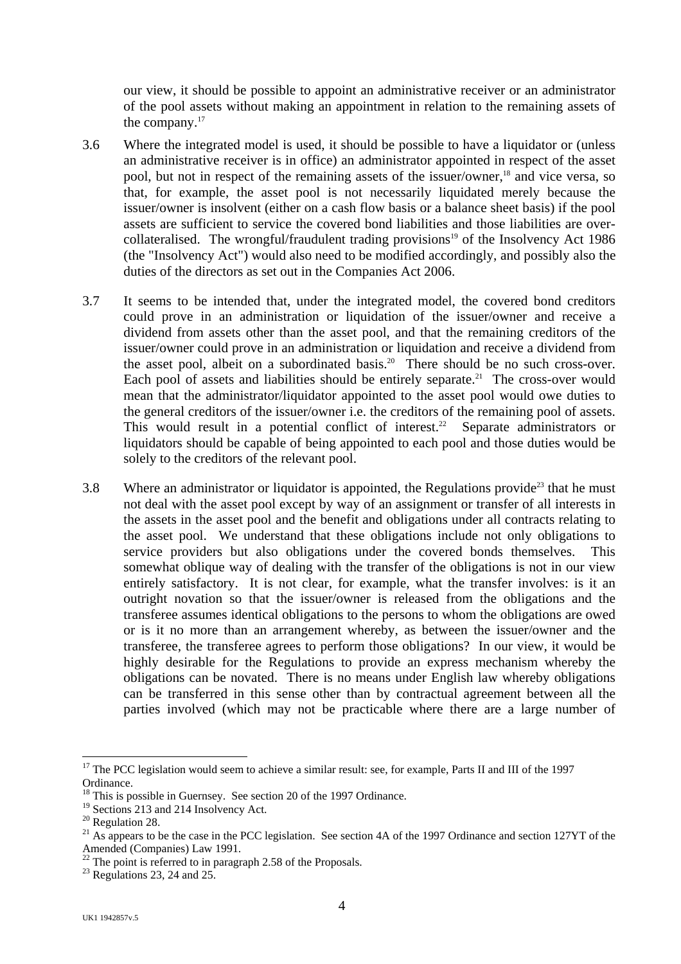our view, it should be possible to appoint an administrative receiver or an administrator of the pool assets without making an appointment in relation to the remaining assets of the company.<sup>[17](#page-3-0)</sup>

- 3.6 Where the integrated model is used, it should be possible to have a liquidator or (unless an administrative receiver is in office) an administrator appointed in respect of the asset pool, but not in respect of the remaining assets of the issuer/owner,<sup>18</sup> and vice versa, so that, for example, the asset pool is not necessarily liquidated merely because the issuer/owner is insolvent (either on a cash flow basis or a balance sheet basis) if the pool assets are sufficient to service the covered bond liabilities and those liabilities are overcollateralised. The wrongful/fraudulent trading provisions<sup>19</sup> of the Insolvency Act 1986 (the "Insolvency Act") would also need to be modified accordingly, and possibly also the duties of the directors as set out in the Companies Act 2006.
- 3.7 It seems to be intended that, under the integrated model, the covered bond creditors could prove in an administration or liquidation of the issuer/owner and receive a dividend from assets other than the asset pool, and that the remaining creditors of the issuer/owner could prove in an administration or liquidation and receive a dividend from the asset pool, albeit on a subordinated basis.<sup>20</sup> There should be no such cross-over. Each pool of assets and liabilities should be entirely separate.<sup>21</sup> The cross-over would mean that the administrator/liquidator appointed to the asset pool would owe duties to the general creditors of the issuer/owner i.e. the creditors of the remaining pool of assets. This would result in a potential conflict of interest.<sup>22</sup> Separate administrators or liquidators should be capable of being appointed to each pool and those duties would be solely to the creditors of the relevant pool.
- $3.8$  Where an administrator or liquidator is appointed, the Regulations provide<sup>23</sup> that he must not deal with the asset pool except by way of an assignment or transfer of all interests in the assets in the asset pool and the benefit and obligations under all contracts relating to the asset pool. We understand that these obligations include not only obligations to service providers but also obligations under the covered bonds themselves. This somewhat oblique way of dealing with the transfer of the obligations is not in our view entirely satisfactory. It is not clear, for example, what the transfer involves: is it an outright novation so that the issuer/owner is released from the obligations and the transferee assumes identical obligations to the persons to whom the obligations are owed or is it no more than an arrangement whereby, as between the issuer/owner and the transferee, the transferee agrees to perform those obligations? In our view, it would be highly desirable for the Regulations to provide an express mechanism whereby the obligations can be novated. There is no means under English law whereby obligations can be transferred in this sense other than by contractual agreement between all the parties involved (which may not be practicable where there are a large number of

<span id="page-3-0"></span><sup>&</sup>lt;sup>17</sup> The PCC legislation would seem to achieve a similar result: see, for example, Parts II and III of the 1997 Ordinance.<br><sup>18</sup> This is possible in Guernsey. See section 20 of the 1997 Ordinance.<br><sup>19</sup> Sections 213 and 214 Insolvency Act.

<span id="page-3-1"></span>

<span id="page-3-2"></span>

<span id="page-3-4"></span><span id="page-3-3"></span>

<sup>&</sup>lt;sup>20</sup> Regulation 28. <sup>21</sup> As appears to be the case in the PCC legislation. See section 4A of the 1997 Ordinance and section 127YT of the Amended (Companies) Law 1991.<br><sup>22</sup> The point is referred to in paragraph 2.58 of the Proposals.<br><sup>23</sup> Regulations 23, 24 and 25.

<span id="page-3-5"></span>

<span id="page-3-6"></span>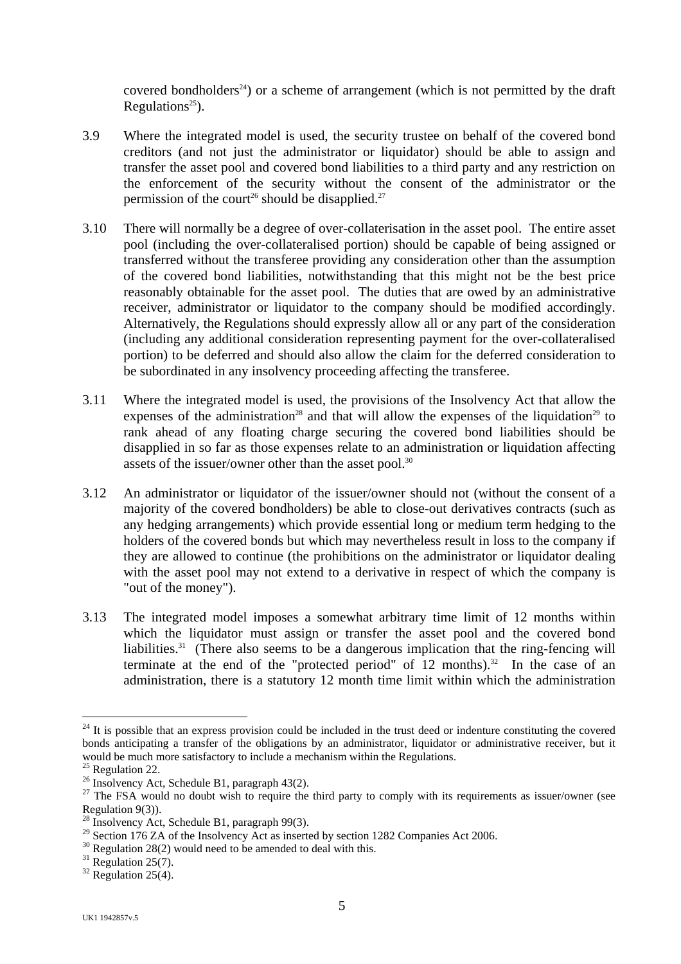covered bondholders<sup>24</sup>) or a scheme of arrangement (which is not permitted by the draft Regulations<sup>25</sup>).

- 3.9 Where the integrated model is used, the security trustee on behalf of the covered bond creditors (and not just the administrator or liquidator) should be able to assign and transfer the asset pool and covered bond liabilities to a third party and any restriction on the enforcement of the security without the consent of the administrator or the permission of the court<sup>26</sup> should be disapplied.<sup>[27](#page-4-3)</sup>
- 3.10 There will normally be a degree of over-collaterisation in the asset pool. The entire asset pool (including the over-collateralised portion) should be capable of being assigned or transferred without the transferee providing any consideration other than the assumption of the covered bond liabilities, notwithstanding that this might not be the best price reasonably obtainable for the asset pool. The duties that are owed by an administrative receiver, administrator or liquidator to the company should be modified accordingly. Alternatively, the Regulations should expressly allow all or any part of the consideration (including any additional consideration representing payment for the over-collateralised portion) to be deferred and should also allow the claim for the deferred consideration to be subordinated in any insolvency proceeding affecting the transferee.
- 3.11 Where the integrated model is used, the provisions of the Insolvency Act that allow the expenses of the administration<sup>28</sup> and that will allow the expenses of the liquidation<sup>29</sup> to rank ahead of any floating charge securing the covered bond liabilities should be disapplied in so far as those expenses relate to an administration or liquidation affecting assets of the issuer/owner other than the asset pool.<sup>30</sup>
- 3.12 An administrator or liquidator of the issuer/owner should not (without the consent of a majority of the covered bondholders) be able to close-out derivatives contracts (such as any hedging arrangements) which provide essential long or medium term hedging to the holders of the covered bonds but which may nevertheless result in loss to the company if they are allowed to continue (the prohibitions on the administrator or liquidator dealing with the asset pool may not extend to a derivative in respect of which the company is "out of the money").
- 3.13 The integrated model imposes a somewhat arbitrary time limit of 12 months within which the liquidator must assign or transfer the asset pool and the covered bond liabilities.<sup>31</sup> (There also seems to be a dangerous implication that the ring-fencing will terminate at the end of the "protected period" of  $12$  months).<sup>32</sup> In the case of an administration, there is a statutory 12 month time limit within which the administration

<span id="page-4-0"></span> $\overline{a}$  $24$  It is possible that an express provision could be included in the trust deed or indenture constituting the covered bonds anticipating a transfer of the obligations by an administrator, liquidator or administrative receiver, but it

<span id="page-4-1"></span>

<span id="page-4-3"></span><span id="page-4-2"></span>

would be much more satisfactory to include a mechanism within the Regulations.<br><sup>25</sup> Regulation 22.<br><sup>26</sup> Insolvency Act, Schedule B1, paragraph 43(2).<br><sup>27</sup> The FSA would no doubt wish to require the third party to comply w

<span id="page-4-4"></span><sup>&</sup>lt;sup>28</sup> Insolvency Act, Schedule B1, paragraph 99(3).

<span id="page-4-5"></span><sup>&</sup>lt;sup>29</sup> Section 176 ZA of the Insolvency Act as inserted by section 1282 Companies Act 2006.<br><sup>30</sup> Regulation 28(2) would need to be amended to deal with this.<br><sup>31</sup> Regulation 25(7).<br><sup>32</sup> Regulation 25(4).

<span id="page-4-6"></span>

<span id="page-4-7"></span>

<span id="page-4-8"></span>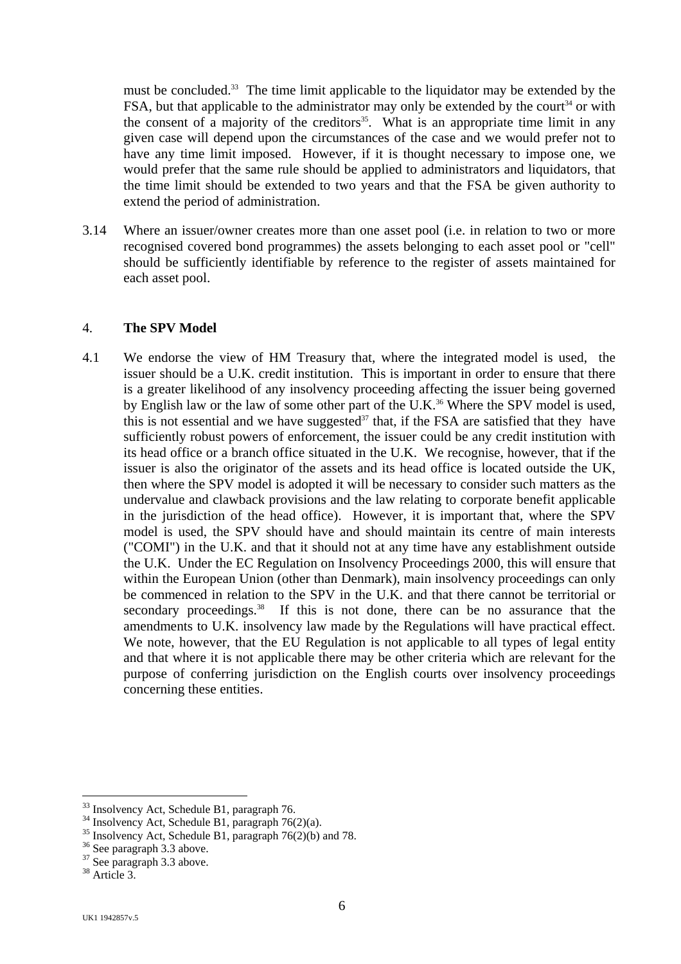must be concluded.<sup>33</sup> The time limit applicable to the liquidator may be extended by the FSA, but that applicable to the administrator may only be extended by the court<sup>34</sup> or with the consent of a majority of the creditors<sup>35</sup>. What is an appropriate time limit in any given case will depend upon the circumstances of the case and we would prefer not to have any time limit imposed. However, if it is thought necessary to impose one, we would prefer that the same rule should be applied to administrators and liquidators, that the time limit should be extended to two years and that the FSA be given authority to extend the period of administration.

3.14 Where an issuer/owner creates more than one asset pool (i.e. in relation to two or more recognised covered bond programmes) the assets belonging to each asset pool or "cell" should be sufficiently identifiable by reference to the register of assets maintained for each asset pool.

## 4. **The SPV Model**

4.1 We endorse the view of HM Treasury that, where the integrated model is used, the issuer should be a U.K. credit institution. This is important in order to ensure that there is a greater likelihood of any insolvency proceeding affecting the issuer being governed by English law or the law of some other part of the U.K.<sup>36</sup> Where the SPV model is used, this is not essential and we have suggested<sup>37</sup> that, if the FSA are satisfied that they have sufficiently robust powers of enforcement, the issuer could be any credit institution with its head office or a branch office situated in the U.K. We recognise, however, that if the issuer is also the originator of the assets and its head office is located outside the UK, then where the SPV model is adopted it will be necessary to consider such matters as the undervalue and clawback provisions and the law relating to corporate benefit applicable in the jurisdiction of the head office). However, it is important that, where the SPV model is used, the SPV should have and should maintain its centre of main interests ("COMI") in the U.K. and that it should not at any time have any establishment outside the U.K. Under the EC Regulation on Insolvency Proceedings 2000, this will ensure that within the European Union (other than Denmark), main insolvency proceedings can only be commenced in relation to the SPV in the U.K. and that there cannot be territorial or secondary proceedings.<sup>38</sup> If this is not done, there can be no assurance that the amendments to U.K. insolvency law made by the Regulations will have practical effect. We note, however, that the EU Regulation is not applicable to all types of legal entity and that where it is not applicable there may be other criteria which are relevant for the purpose of conferring jurisdiction on the English courts over insolvency proceedings concerning these entities.

<span id="page-5-0"></span><sup>&</sup>lt;sup>33</sup> Insolvency Act, Schedule B1, paragraph 76.

<span id="page-5-2"></span><span id="page-5-1"></span>

<sup>&</sup>lt;sup>34</sup> Insolvency Act, Schedule B1, paragraph 76(2)(a).<br><sup>35</sup> Insolvency Act, Schedule B1, paragraph 76(2)(b) and 78.<br><sup>36</sup> See paragraph 3.3 above.

<span id="page-5-3"></span>

<span id="page-5-4"></span><sup>&</sup>lt;sup>37</sup> See paragraph 3.3 above.

<span id="page-5-5"></span><sup>38</sup> Article 3.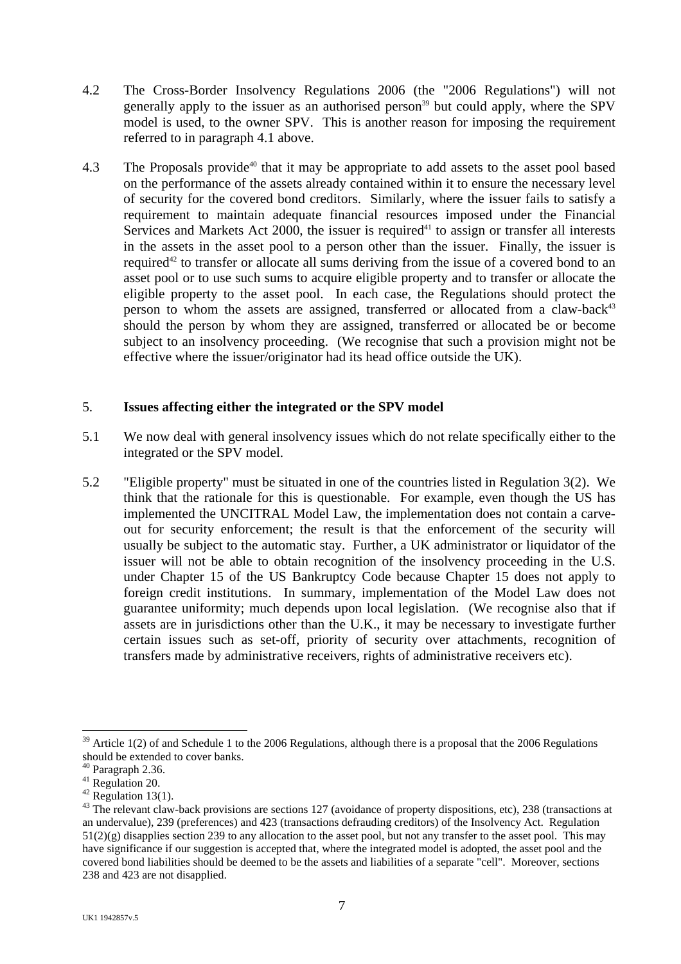- 4.2 The Cross-Border Insolvency Regulations 2006 (the "2006 Regulations") will not generally apply to the issuer as an authorised person<sup>39</sup> but could apply, where the SPV model is used, to the owner SPV. This is another reason for imposing the requirement referred to in paragraph 4.1 above.
- 4.3 The Proposals provide<sup>40</sup> that it may be appropriate to add assets to the asset pool based on the performance of the assets already contained within it to ensure the necessary level of security for the covered bond creditors. Similarly, where the issuer fails to satisfy a requirement to maintain adequate financial resources imposed under the Financial Services and Markets Act 2000, the issuer is required<sup>41</sup> to assign or transfer all interests in the assets in the asset pool to a person other than the issuer. Finally, the issuer is required<sup>42</sup> to transfer or allocate all sums deriving from the issue of a covered bond to an asset pool or to use such sums to acquire eligible property and to transfer or allocate the eligible property to the asset pool. In each case, the Regulations should protect the person to whom the assets are assigned, transferred or allocated from a claw-back $43$ should the person by whom they are assigned, transferred or allocated be or become subject to an insolvency proceeding. (We recognise that such a provision might not be effective where the issuer/originator had its head office outside the UK).

## 5. **Issues affecting either the integrated or the SPV model**

- 5.1 We now deal with general insolvency issues which do not relate specifically either to the integrated or the SPV model.
- 5.2 "Eligible property" must be situated in one of the countries listed in Regulation 3(2). We think that the rationale for this is questionable. For example, even though the US has implemented the UNCITRAL Model Law, the implementation does not contain a carveout for security enforcement; the result is that the enforcement of the security will usually be subject to the automatic stay. Further, a UK administrator or liquidator of the issuer will not be able to obtain recognition of the insolvency proceeding in the U.S. under Chapter 15 of the US Bankruptcy Code because Chapter 15 does not apply to foreign credit institutions. In summary, implementation of the Model Law does not guarantee uniformity; much depends upon local legislation. (We recognise also that if assets are in jurisdictions other than the U.K., it may be necessary to investigate further certain issues such as set-off, priority of security over attachments, recognition of transfers made by administrative receivers, rights of administrative receivers etc).

<span id="page-6-0"></span> $39$  Article 1(2) of and Schedule 1 to the 2006 Regulations, although there is a proposal that the 2006 Regulations should be extended to cover banks.<br><sup>40</sup> Paragraph 2.36.<br><sup>41</sup> Regulation 20.

<span id="page-6-1"></span>

<span id="page-6-2"></span>

<span id="page-6-4"></span><span id="page-6-3"></span>

<sup>&</sup>lt;sup>42</sup> Regulation 13(1).<br><sup>43</sup> The relevant claw-back provisions are sections 127 (avoidance of property dispositions, etc), 238 (transactions at an undervalue), 239 (preferences) and 423 (transactions defrauding creditors) of the Insolvency Act. Regulation  $51(2)(g)$  disapplies section 239 to any allocation to the asset pool, but not any transfer to the asset pool. This may have significance if our suggestion is accepted that, where the integrated model is adopted, the asset pool and the covered bond liabilities should be deemed to be the assets and liabilities of a separate "cell". Moreover, sections 238 and 423 are not disapplied.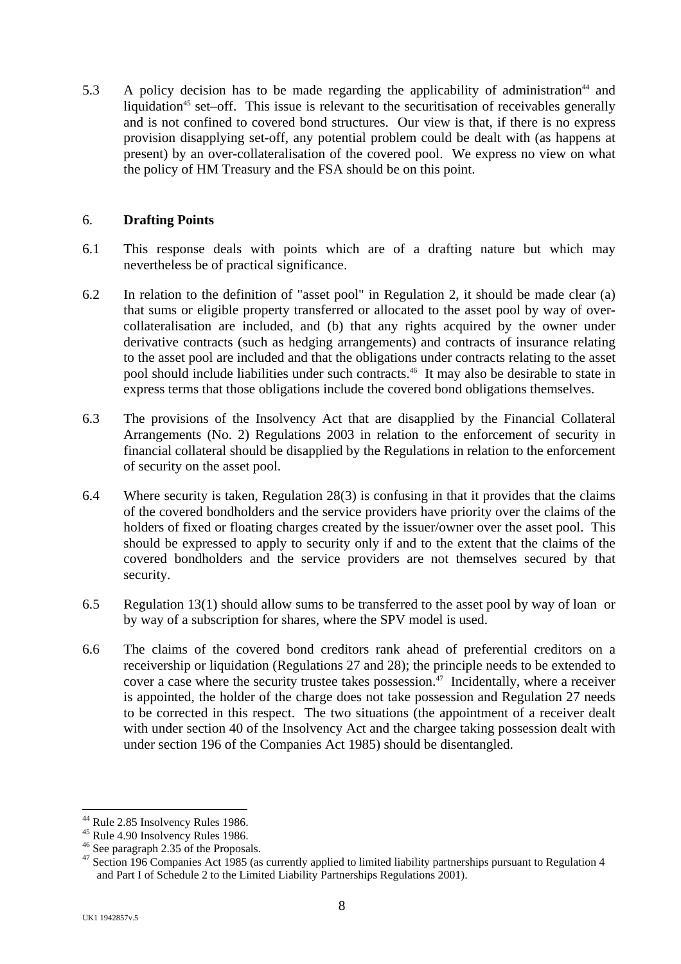5.3 A policy decision has to be made regarding the applicability of administration<sup>44</sup> and liquidation<sup>45</sup> set–off. This issue is relevant to the securitisation of receivables generally and is not confined to covered bond structures. Our view is that, if there is no express provision disapplying set-off, any potential problem could be dealt with (as happens at present) by an over-collateralisation of the covered pool. We express no view on what the policy of HM Treasury and the FSA should be on this point.

## 6. **Drafting Points**

- 6.1 This response deals with points which are of a drafting nature but which may nevertheless be of practical significance.
- 6.2 In relation to the definition of "asset pool" in Regulation 2, it should be made clear (a) that sums or eligible property transferred or allocated to the asset pool by way of overcollateralisation are included, and (b) that any rights acquired by the owner under derivative contracts (such as hedging arrangements) and contracts of insurance relating to the asset pool are included and that the obligations under contracts relating to the asset pool should include liabilities under such contracts.<sup>46</sup> It may also be desirable to state in express terms that those obligations include the covered bond obligations themselves.
- 6.3 The provisions of the Insolvency Act that are disapplied by the Financial Collateral Arrangements (No. 2) Regulations 2003 in relation to the enforcement of security in financial collateral should be disapplied by the Regulations in relation to the enforcement of security on the asset pool.
- 6.4 Where security is taken, Regulation 28(3) is confusing in that it provides that the claims of the covered bondholders and the service providers have priority over the claims of the holders of fixed or floating charges created by the issuer/owner over the asset pool. This should be expressed to apply to security only if and to the extent that the claims of the covered bondholders and the service providers are not themselves secured by that security.
- 6.5 Regulation 13(1) should allow sums to be transferred to the asset pool by way of loan or by way of a subscription for shares, where the SPV model is used.
- 6.6 The claims of the covered bond creditors rank ahead of preferential creditors on a receivership or liquidation (Regulations 27 and 28); the principle needs to be extended to cover a case where the security trustee takes possession.[47](#page-7-3) Incidentally, where a receiver is appointed, the holder of the charge does not take possession and Regulation 27 needs to be corrected in this respect. The two situations (the appointment of a receiver dealt with under section 40 of the Insolvency Act and the chargee taking possession dealt with under section 196 of the Companies Act 1985) should be disentangled.

<span id="page-7-0"></span><sup>&</sup>lt;sup>44</sup> Rule 2.85 Insolvency Rules 1986.

<span id="page-7-1"></span>

<span id="page-7-3"></span><span id="page-7-2"></span>

<sup>45</sup> Rule 4.90 Insolvency Rules 1986.<br>
<sup>46</sup> See paragraph 2.35 of the Proposals.<br>
<sup>47</sup> Section 196 Companies Act 1985 (as currently applied to limited liability partnerships pursuant to Regulation 4 and Part I of Schedule 2 to the Limited Liability Partnerships Regulations 2001).